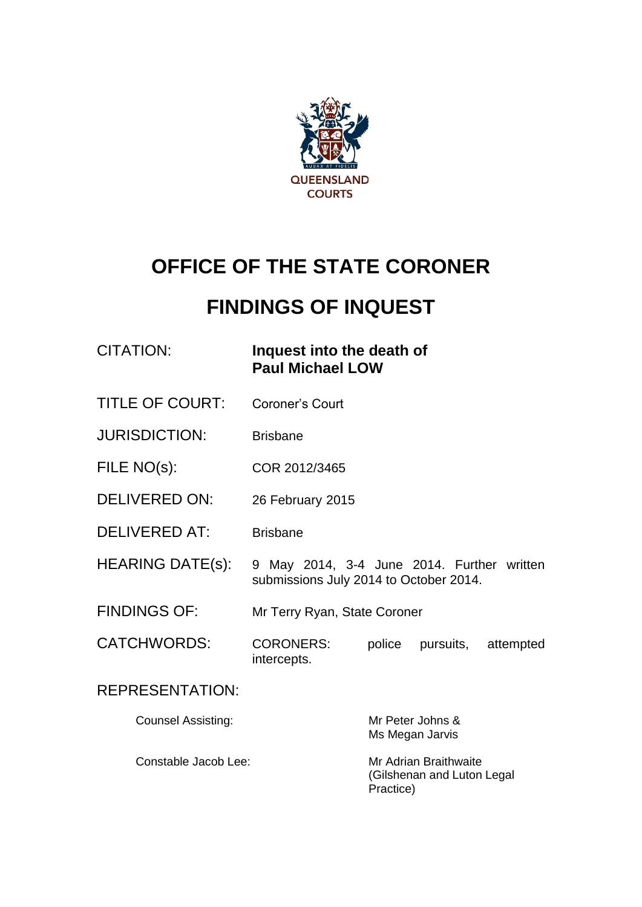

# **OFFICE OF THE STATE CORONER**

# **FINDINGS OF INQUEST**

# CITATION: **Inquest into the death of Paul Michael LOW**

- TITLE OF COURT: Coroner's Court
- JURISDICTION: Brisbane
- FILE NO(s): COR 2012/3465
- DELIVERED ON: 26 February 2015
- DELIVERED AT: Brisbane
- HEARING DATE(s): 9 May 2014, 3-4 June 2014. Further written submissions July 2014 to October 2014.
- FINDINGS OF: Mr Terry Ryan, State Coroner
- CATCHWORDS: CORONERS: police pursuits, attempted intercepts.

## REPRESENTATION:

| <b>Counsel Assisting:</b> | Mr Peter Johns & |
|---------------------------|------------------|
|                           | Ms Megan Jarvis  |

Constable Jacob Lee: Mr Adrian Braithwaite

(Gilshenan and Luton Legal Practice)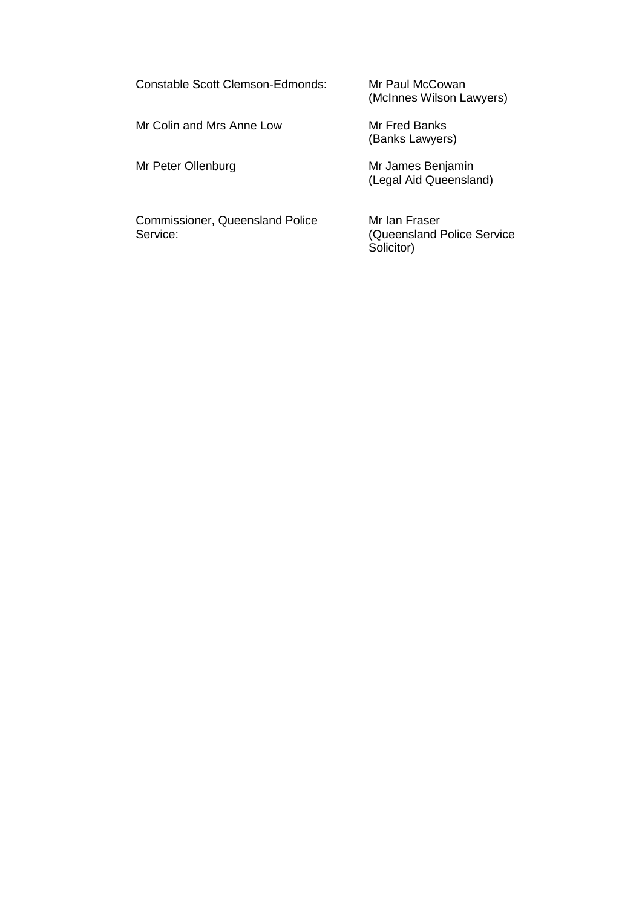Constable Scott Clemson-Edmonds: Mr Paul McCowan

Mr Colin and Mrs Anne Low Mr Fred Banks

(McInnes Wilson Lawyers)

(Banks Lawyers)

Mr Peter Ollenburg Mr James Benjamin (Legal Aid Queensland)

Commissioner, Queensland Police Mr Ian Fraser<br>Service: (Queensland F

(Queensland Police Service Solicitor)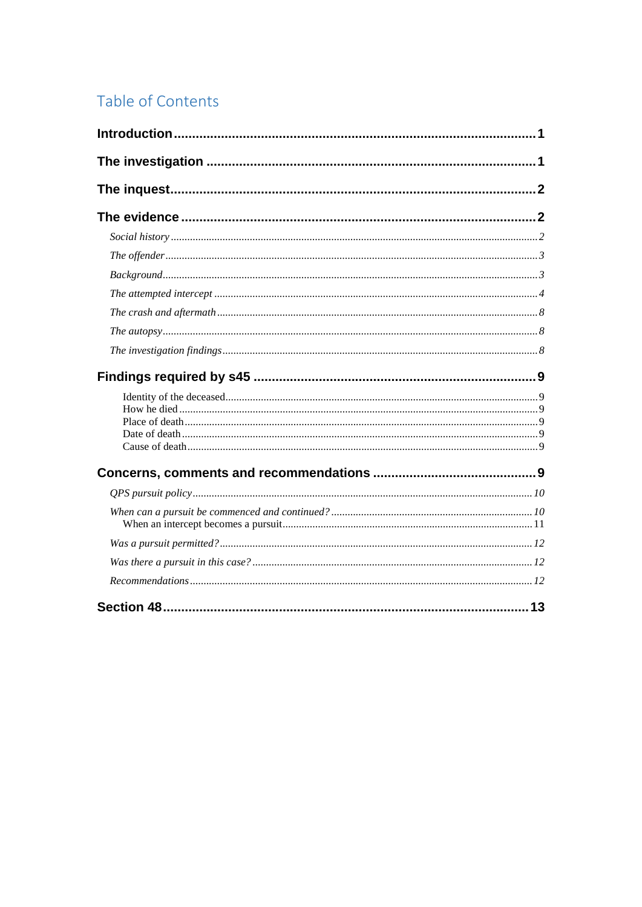# Table of Contents

| 13 |
|----|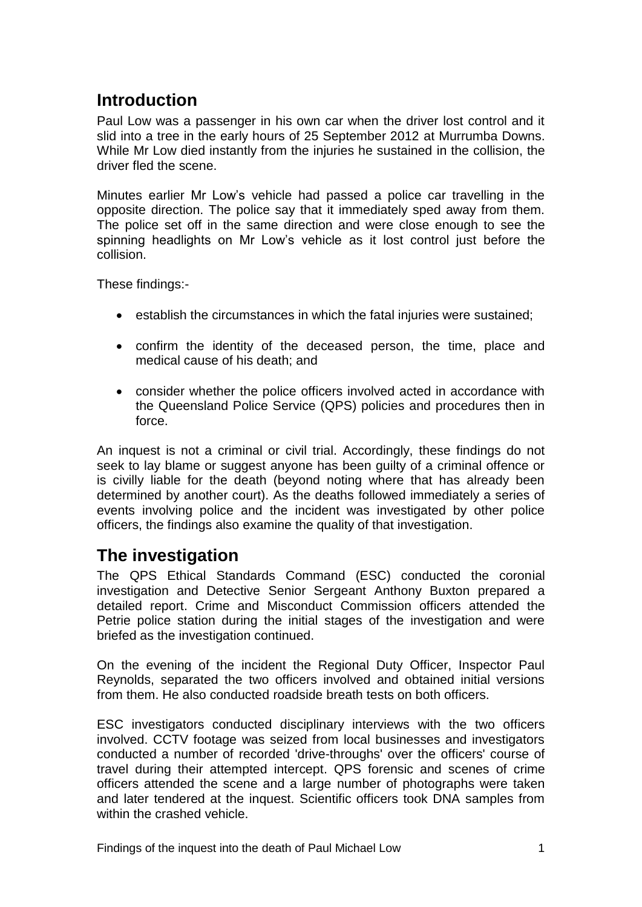# <span id="page-3-0"></span>**Introduction**

Paul Low was a passenger in his own car when the driver lost control and it slid into a tree in the early hours of 25 September 2012 at Murrumba Downs. While Mr Low died instantly from the injuries he sustained in the collision, the driver fled the scene.

Minutes earlier Mr Low's vehicle had passed a police car travelling in the opposite direction. The police say that it immediately sped away from them. The police set off in the same direction and were close enough to see the spinning headlights on Mr Low's vehicle as it lost control just before the collision.

These findings:-

- establish the circumstances in which the fatal injuries were sustained;
- confirm the identity of the deceased person, the time, place and medical cause of his death; and
- consider whether the police officers involved acted in accordance with the Queensland Police Service (QPS) policies and procedures then in force.

An inquest is not a criminal or civil trial. Accordingly, these findings do not seek to lay blame or suggest anyone has been guilty of a criminal offence or is civilly liable for the death (beyond noting where that has already been determined by another court). As the deaths followed immediately a series of events involving police and the incident was investigated by other police officers, the findings also examine the quality of that investigation.

# <span id="page-3-1"></span>**The investigation**

The QPS Ethical Standards Command (ESC) conducted the coronial investigation and Detective Senior Sergeant Anthony Buxton prepared a detailed report. Crime and Misconduct Commission officers attended the Petrie police station during the initial stages of the investigation and were briefed as the investigation continued.

On the evening of the incident the Regional Duty Officer, Inspector Paul Reynolds, separated the two officers involved and obtained initial versions from them. He also conducted roadside breath tests on both officers.

ESC investigators conducted disciplinary interviews with the two officers involved. CCTV footage was seized from local businesses and investigators conducted a number of recorded 'drive-throughs' over the officers' course of travel during their attempted intercept. QPS forensic and scenes of crime officers attended the scene and a large number of photographs were taken and later tendered at the inquest. Scientific officers took DNA samples from within the crashed vehicle.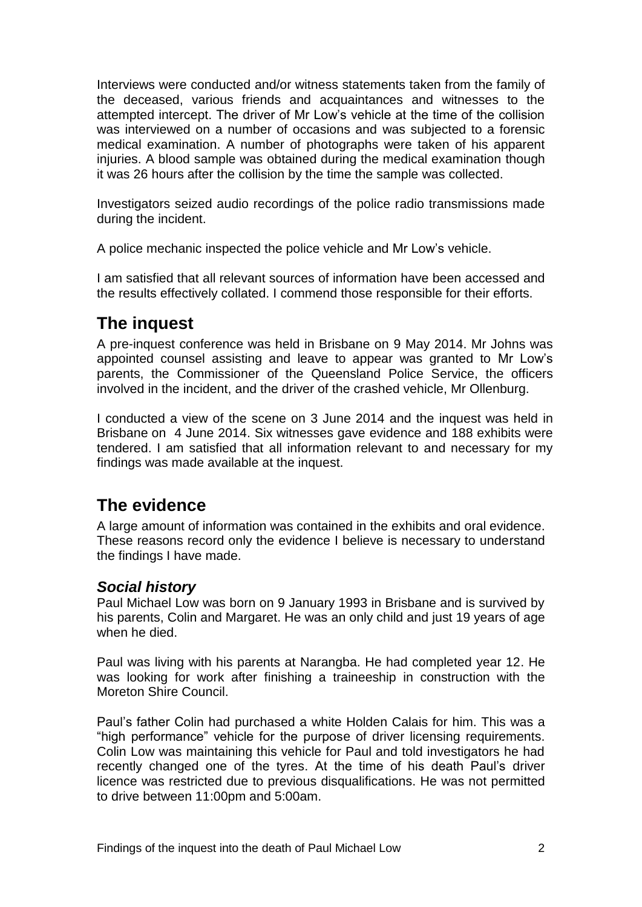Interviews were conducted and/or witness statements taken from the family of the deceased, various friends and acquaintances and witnesses to the attempted intercept. The driver of Mr Low's vehicle at the time of the collision was interviewed on a number of occasions and was subjected to a forensic medical examination. A number of photographs were taken of his apparent injuries. A blood sample was obtained during the medical examination though it was 26 hours after the collision by the time the sample was collected.

Investigators seized audio recordings of the police radio transmissions made during the incident.

A police mechanic inspected the police vehicle and Mr Low's vehicle.

I am satisfied that all relevant sources of information have been accessed and the results effectively collated. I commend those responsible for their efforts.

# <span id="page-4-0"></span>**The inquest**

A pre-inquest conference was held in Brisbane on 9 May 2014. Mr Johns was appointed counsel assisting and leave to appear was granted to Mr Low's parents, the Commissioner of the Queensland Police Service, the officers involved in the incident, and the driver of the crashed vehicle, Mr Ollenburg.

I conducted a view of the scene on 3 June 2014 and the inquest was held in Brisbane on 4 June 2014. Six witnesses gave evidence and 188 exhibits were tendered. I am satisfied that all information relevant to and necessary for my findings was made available at the inquest.

# <span id="page-4-1"></span>**The evidence**

A large amount of information was contained in the exhibits and oral evidence. These reasons record only the evidence I believe is necessary to understand the findings I have made.

## <span id="page-4-2"></span>*Social history*

Paul Michael Low was born on 9 January 1993 in Brisbane and is survived by his parents, Colin and Margaret. He was an only child and just 19 years of age when he died.

Paul was living with his parents at Narangba. He had completed year 12. He was looking for work after finishing a traineeship in construction with the Moreton Shire Council.

Paul's father Colin had purchased a white Holden Calais for him. This was a "high performance" vehicle for the purpose of driver licensing requirements. Colin Low was maintaining this vehicle for Paul and told investigators he had recently changed one of the tyres. At the time of his death Paul's driver licence was restricted due to previous disqualifications. He was not permitted to drive between 11:00pm and 5:00am.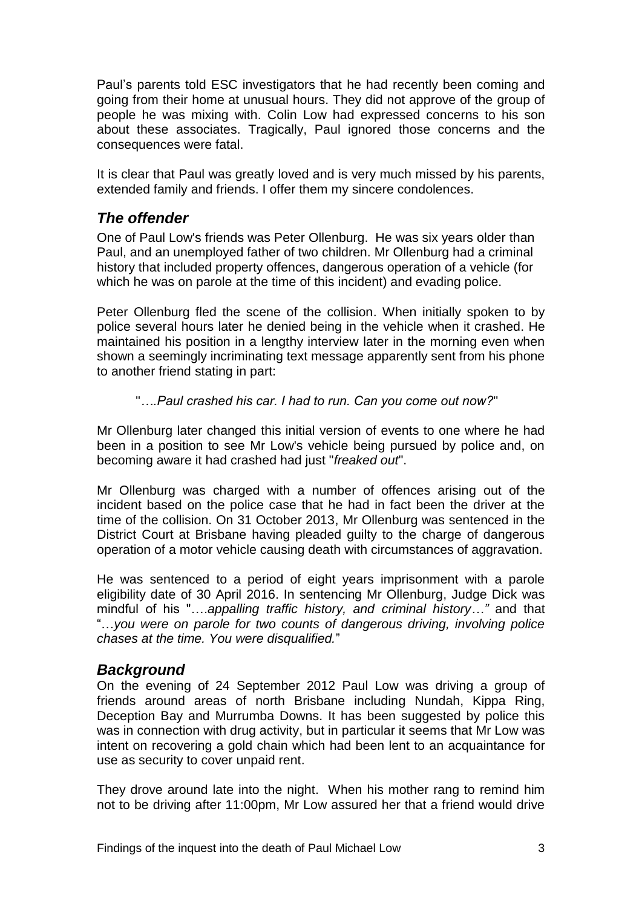Paul's parents told ESC investigators that he had recently been coming and going from their home at unusual hours. They did not approve of the group of people he was mixing with. Colin Low had expressed concerns to his son about these associates. Tragically, Paul ignored those concerns and the consequences were fatal.

It is clear that Paul was greatly loved and is very much missed by his parents, extended family and friends. I offer them my sincere condolences.

## <span id="page-5-0"></span>*The offender*

One of Paul Low's friends was Peter Ollenburg. He was six years older than Paul, and an unemployed father of two children. Mr Ollenburg had a criminal history that included property offences, dangerous operation of a vehicle (for which he was on parole at the time of this incident) and evading police.

Peter Ollenburg fled the scene of the collision. When initially spoken to by police several hours later he denied being in the vehicle when it crashed. He maintained his position in a lengthy interview later in the morning even when shown a seemingly incriminating text message apparently sent from his phone to another friend stating in part:

#### "*….Paul crashed his car. I had to run. Can you come out now?*"

Mr Ollenburg later changed this initial version of events to one where he had been in a position to see Mr Low's vehicle being pursued by police and, on becoming aware it had crashed had just "*freaked out*".

Mr Ollenburg was charged with a number of offences arising out of the incident based on the police case that he had in fact been the driver at the time of the collision. On 31 October 2013, Mr Ollenburg was sentenced in the District Court at Brisbane having pleaded guilty to the charge of dangerous operation of a motor vehicle causing death with circumstances of aggravation.

He was sentenced to a period of eight years imprisonment with a parole eligibility date of 30 April 2016. In sentencing Mr Ollenburg, Judge Dick was mindful of his "….*appalling traffic history, and criminal history…"* and that "…*you were on parole for two counts of dangerous driving, involving police chases at the time. You were disqualified.*"

## <span id="page-5-1"></span>*Background*

On the evening of 24 September 2012 Paul Low was driving a group of friends around areas of north Brisbane including Nundah, Kippa Ring, Deception Bay and Murrumba Downs. It has been suggested by police this was in connection with drug activity, but in particular it seems that Mr Low was intent on recovering a gold chain which had been lent to an acquaintance for use as security to cover unpaid rent.

They drove around late into the night. When his mother rang to remind him not to be driving after 11:00pm, Mr Low assured her that a friend would drive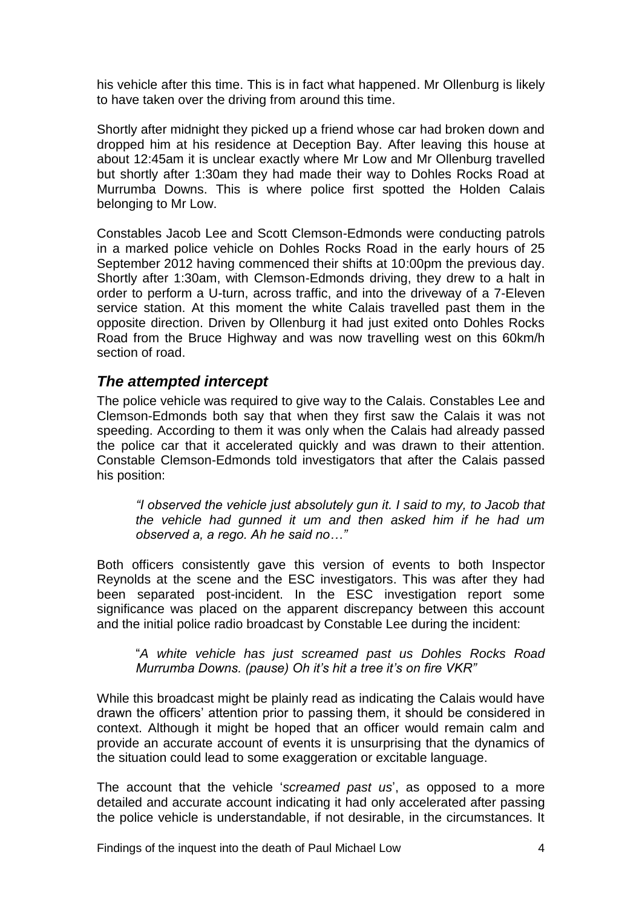his vehicle after this time. This is in fact what happened. Mr Ollenburg is likely to have taken over the driving from around this time.

Shortly after midnight they picked up a friend whose car had broken down and dropped him at his residence at Deception Bay. After leaving this house at about 12:45am it is unclear exactly where Mr Low and Mr Ollenburg travelled but shortly after 1:30am they had made their way to Dohles Rocks Road at Murrumba Downs. This is where police first spotted the Holden Calais belonging to Mr Low.

Constables Jacob Lee and Scott Clemson-Edmonds were conducting patrols in a marked police vehicle on Dohles Rocks Road in the early hours of 25 September 2012 having commenced their shifts at 10:00pm the previous day. Shortly after 1:30am, with Clemson-Edmonds driving, they drew to a halt in order to perform a U-turn, across traffic, and into the driveway of a 7-Eleven service station. At this moment the white Calais travelled past them in the opposite direction. Driven by Ollenburg it had just exited onto Dohles Rocks Road from the Bruce Highway and was now travelling west on this 60km/h section of road.

## <span id="page-6-0"></span>*The attempted intercept*

The police vehicle was required to give way to the Calais. Constables Lee and Clemson-Edmonds both say that when they first saw the Calais it was not speeding. According to them it was only when the Calais had already passed the police car that it accelerated quickly and was drawn to their attention. Constable Clemson-Edmonds told investigators that after the Calais passed his position:

*"I observed the vehicle just absolutely gun it. I said to my, to Jacob that the vehicle had gunned it um and then asked him if he had um observed a, a rego. Ah he said no…"*

Both officers consistently gave this version of events to both Inspector Reynolds at the scene and the ESC investigators. This was after they had been separated post-incident. In the ESC investigation report some significance was placed on the apparent discrepancy between this account and the initial police radio broadcast by Constable Lee during the incident:

"*A white vehicle has just screamed past us Dohles Rocks Road Murrumba Downs. (pause) Oh it's hit a tree it's on fire VKR"*

While this broadcast might be plainly read as indicating the Calais would have drawn the officers' attention prior to passing them, it should be considered in context. Although it might be hoped that an officer would remain calm and provide an accurate account of events it is unsurprising that the dynamics of the situation could lead to some exaggeration or excitable language.

The account that the vehicle '*screamed past us*', as opposed to a more detailed and accurate account indicating it had only accelerated after passing the police vehicle is understandable, if not desirable, in the circumstances. It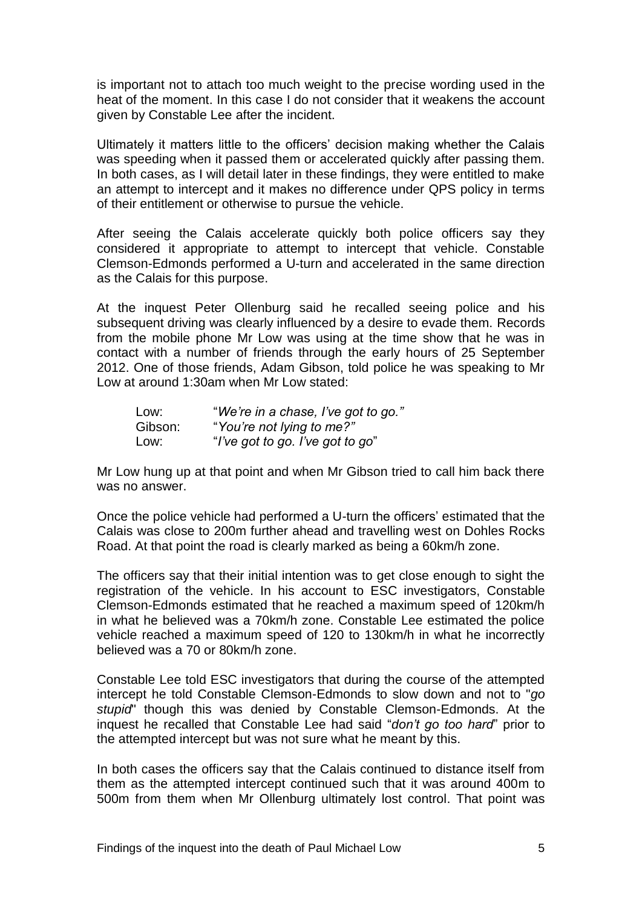is important not to attach too much weight to the precise wording used in the heat of the moment. In this case I do not consider that it weakens the account given by Constable Lee after the incident.

Ultimately it matters little to the officers' decision making whether the Calais was speeding when it passed them or accelerated quickly after passing them. In both cases, as I will detail later in these findings, they were entitled to make an attempt to intercept and it makes no difference under QPS policy in terms of their entitlement or otherwise to pursue the vehicle.

After seeing the Calais accelerate quickly both police officers say they considered it appropriate to attempt to intercept that vehicle. Constable Clemson-Edmonds performed a U-turn and accelerated in the same direction as the Calais for this purpose.

At the inquest Peter Ollenburg said he recalled seeing police and his subsequent driving was clearly influenced by a desire to evade them. Records from the mobile phone Mr Low was using at the time show that he was in contact with a number of friends through the early hours of 25 September 2012. One of those friends, Adam Gibson, told police he was speaking to Mr Low at around 1:30am when Mr Low stated:

| Low:    | "We're in a chase, I've got to go." |
|---------|-------------------------------------|
| Gibson: | "You're not lying to me?"           |
| Low:    | "I've got to go. I've got to go"    |

Mr Low hung up at that point and when Mr Gibson tried to call him back there was no answer.

Once the police vehicle had performed a U-turn the officers' estimated that the Calais was close to 200m further ahead and travelling west on Dohles Rocks Road. At that point the road is clearly marked as being a 60km/h zone.

The officers say that their initial intention was to get close enough to sight the registration of the vehicle. In his account to ESC investigators, Constable Clemson-Edmonds estimated that he reached a maximum speed of 120km/h in what he believed was a 70km/h zone. Constable Lee estimated the police vehicle reached a maximum speed of 120 to 130km/h in what he incorrectly believed was a 70 or 80km/h zone.

Constable Lee told ESC investigators that during the course of the attempted intercept he told Constable Clemson-Edmonds to slow down and not to "*go stupid*" though this was denied by Constable Clemson-Edmonds. At the inquest he recalled that Constable Lee had said "*don't go too hard*" prior to the attempted intercept but was not sure what he meant by this.

In both cases the officers say that the Calais continued to distance itself from them as the attempted intercept continued such that it was around 400m to 500m from them when Mr Ollenburg ultimately lost control. That point was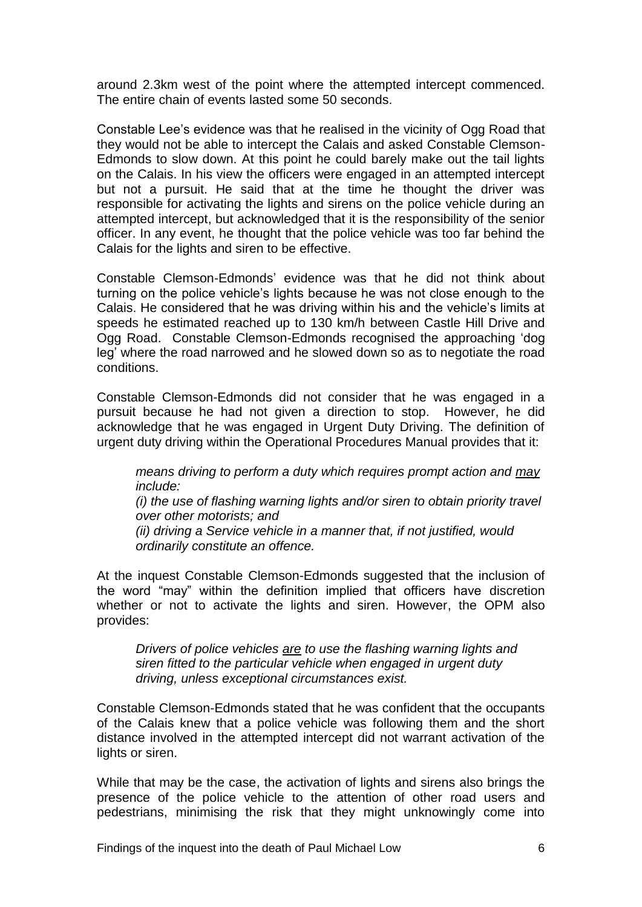around 2.3km west of the point where the attempted intercept commenced. The entire chain of events lasted some 50 seconds.

Constable Lee's evidence was that he realised in the vicinity of Ogg Road that they would not be able to intercept the Calais and asked Constable Clemson-Edmonds to slow down. At this point he could barely make out the tail lights on the Calais. In his view the officers were engaged in an attempted intercept but not a pursuit. He said that at the time he thought the driver was responsible for activating the lights and sirens on the police vehicle during an attempted intercept, but acknowledged that it is the responsibility of the senior officer. In any event, he thought that the police vehicle was too far behind the Calais for the lights and siren to be effective.

Constable Clemson-Edmonds' evidence was that he did not think about turning on the police vehicle's lights because he was not close enough to the Calais. He considered that he was driving within his and the vehicle's limits at speeds he estimated reached up to 130 km/h between Castle Hill Drive and Ogg Road. Constable Clemson-Edmonds recognised the approaching 'dog leg' where the road narrowed and he slowed down so as to negotiate the road conditions.

Constable Clemson-Edmonds did not consider that he was engaged in a pursuit because he had not given a direction to stop. However, he did acknowledge that he was engaged in Urgent Duty Driving. The definition of urgent duty driving within the Operational Procedures Manual provides that it:

*means driving to perform a duty which requires prompt action and may include:*

*(i) the use of flashing warning lights and/or siren to obtain priority travel over other motorists; and*

*(ii) driving a Service vehicle in a manner that, if not justified, would ordinarily constitute an offence.*

At the inquest Constable Clemson-Edmonds suggested that the inclusion of the word "may" within the definition implied that officers have discretion whether or not to activate the lights and siren. However, the OPM also provides:

*Drivers of police vehicles are to use the flashing warning lights and siren fitted to the particular vehicle when engaged in urgent duty driving, unless exceptional circumstances exist.* 

Constable Clemson-Edmonds stated that he was confident that the occupants of the Calais knew that a police vehicle was following them and the short distance involved in the attempted intercept did not warrant activation of the lights or siren.

While that may be the case, the activation of lights and sirens also brings the presence of the police vehicle to the attention of other road users and pedestrians, minimising the risk that they might unknowingly come into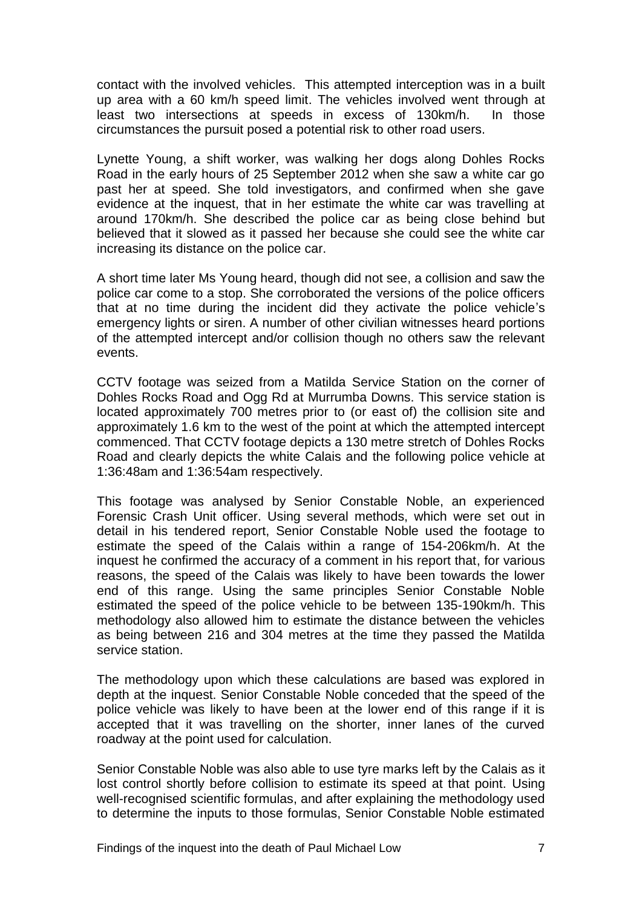contact with the involved vehicles. This attempted interception was in a built up area with a 60 km/h speed limit. The vehicles involved went through at least two intersections at speeds in excess of 130km/h. In those circumstances the pursuit posed a potential risk to other road users.

Lynette Young, a shift worker, was walking her dogs along Dohles Rocks Road in the early hours of 25 September 2012 when she saw a white car go past her at speed. She told investigators, and confirmed when she gave evidence at the inquest, that in her estimate the white car was travelling at around 170km/h. She described the police car as being close behind but believed that it slowed as it passed her because she could see the white car increasing its distance on the police car.

A short time later Ms Young heard, though did not see, a collision and saw the police car come to a stop. She corroborated the versions of the police officers that at no time during the incident did they activate the police vehicle's emergency lights or siren. A number of other civilian witnesses heard portions of the attempted intercept and/or collision though no others saw the relevant events.

CCTV footage was seized from a Matilda Service Station on the corner of Dohles Rocks Road and Ogg Rd at Murrumba Downs. This service station is located approximately 700 metres prior to (or east of) the collision site and approximately 1.6 km to the west of the point at which the attempted intercept commenced. That CCTV footage depicts a 130 metre stretch of Dohles Rocks Road and clearly depicts the white Calais and the following police vehicle at 1:36:48am and 1:36:54am respectively.

This footage was analysed by Senior Constable Noble, an experienced Forensic Crash Unit officer. Using several methods, which were set out in detail in his tendered report, Senior Constable Noble used the footage to estimate the speed of the Calais within a range of 154-206km/h. At the inquest he confirmed the accuracy of a comment in his report that, for various reasons, the speed of the Calais was likely to have been towards the lower end of this range. Using the same principles Senior Constable Noble estimated the speed of the police vehicle to be between 135-190km/h. This methodology also allowed him to estimate the distance between the vehicles as being between 216 and 304 metres at the time they passed the Matilda service station.

The methodology upon which these calculations are based was explored in depth at the inquest. Senior Constable Noble conceded that the speed of the police vehicle was likely to have been at the lower end of this range if it is accepted that it was travelling on the shorter, inner lanes of the curved roadway at the point used for calculation.

Senior Constable Noble was also able to use tyre marks left by the Calais as it lost control shortly before collision to estimate its speed at that point. Using well-recognised scientific formulas, and after explaining the methodology used to determine the inputs to those formulas, Senior Constable Noble estimated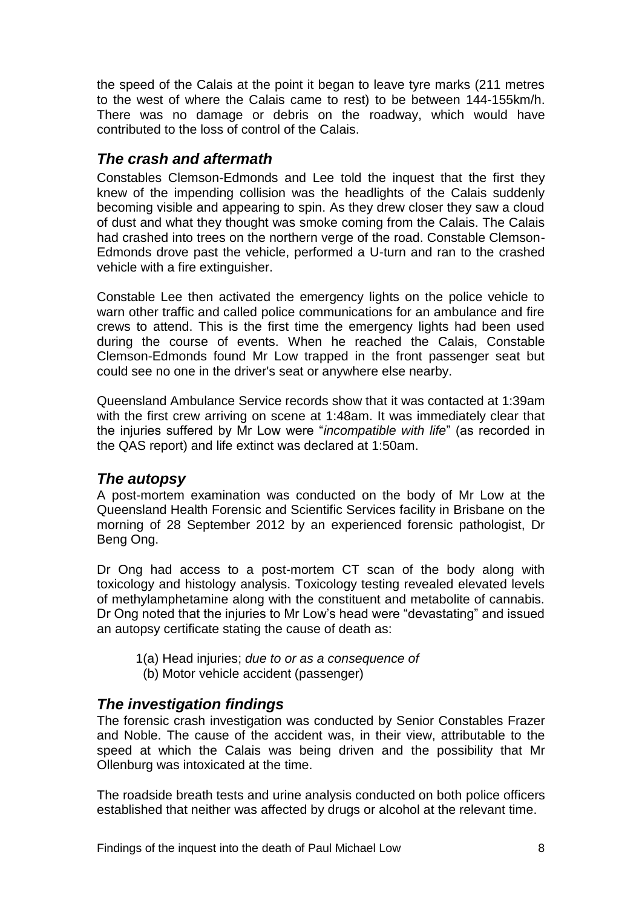the speed of the Calais at the point it began to leave tyre marks (211 metres to the west of where the Calais came to rest) to be between 144-155km/h. There was no damage or debris on the roadway, which would have contributed to the loss of control of the Calais.

## <span id="page-10-0"></span>*The crash and aftermath*

Constables Clemson-Edmonds and Lee told the inquest that the first they knew of the impending collision was the headlights of the Calais suddenly becoming visible and appearing to spin. As they drew closer they saw a cloud of dust and what they thought was smoke coming from the Calais. The Calais had crashed into trees on the northern verge of the road. Constable Clemson-Edmonds drove past the vehicle, performed a U-turn and ran to the crashed vehicle with a fire extinguisher.

Constable Lee then activated the emergency lights on the police vehicle to warn other traffic and called police communications for an ambulance and fire crews to attend. This is the first time the emergency lights had been used during the course of events. When he reached the Calais, Constable Clemson-Edmonds found Mr Low trapped in the front passenger seat but could see no one in the driver's seat or anywhere else nearby.

Queensland Ambulance Service records show that it was contacted at 1:39am with the first crew arriving on scene at 1:48am. It was immediately clear that the injuries suffered by Mr Low were "*incompatible with life*" (as recorded in the QAS report) and life extinct was declared at 1:50am.

## <span id="page-10-1"></span>*The autopsy*

A post-mortem examination was conducted on the body of Mr Low at the Queensland Health Forensic and Scientific Services facility in Brisbane on the morning of 28 September 2012 by an experienced forensic pathologist, Dr Beng Ong.

Dr Ong had access to a post-mortem CT scan of the body along with toxicology and histology analysis. Toxicology testing revealed elevated levels of methylamphetamine along with the constituent and metabolite of cannabis. Dr Ong noted that the injuries to Mr Low's head were "devastating" and issued an autopsy certificate stating the cause of death as:

- 1(a) Head injuries; *due to or as a consequence of*
- (b) Motor vehicle accident (passenger)

## <span id="page-10-2"></span>*The investigation findings*

The forensic crash investigation was conducted by Senior Constables Frazer and Noble. The cause of the accident was, in their view, attributable to the speed at which the Calais was being driven and the possibility that Mr Ollenburg was intoxicated at the time.

The roadside breath tests and urine analysis conducted on both police officers established that neither was affected by drugs or alcohol at the relevant time.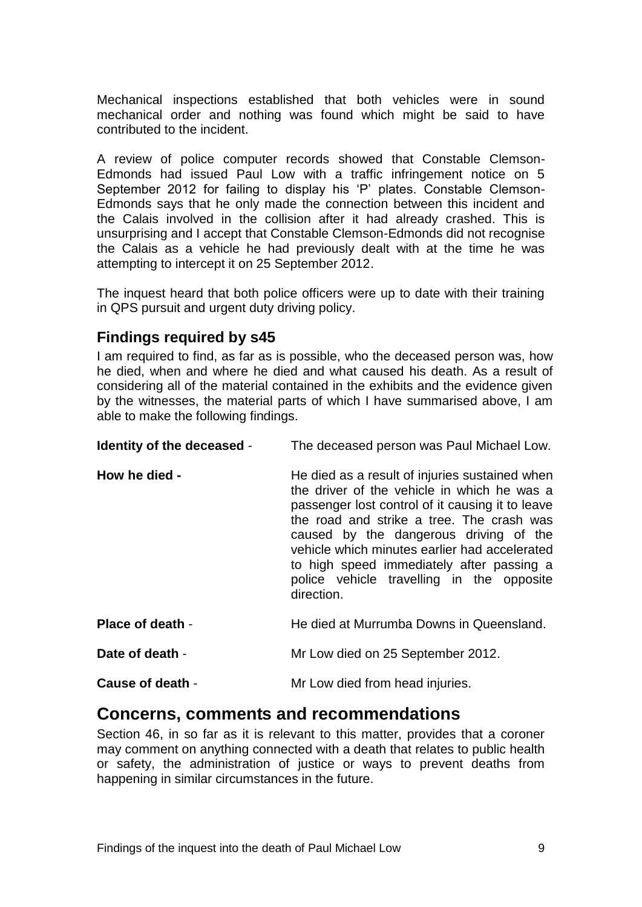Mechanical inspections established that both vehicles were in sound mechanical order and nothing was found which might be said to have contributed to the incident.

A review of police computer records showed that Constable Clemson-Edmonds had issued Paul Low with a traffic infringement notice on 5 September 2012 for failing to display his 'P' plates. Constable Clemson-Edmonds says that he only made the connection between this incident and the Calais involved in the collision after it had already crashed. This is unsurprising and I accept that Constable Clemson-Edmonds did not recognise the Calais as a vehicle he had previously dealt with at the time he was attempting to intercept it on 25 September 2012.

The inquest heard that both police officers were up to date with their training in QPS pursuit and urgent duty driving policy.

#### <span id="page-11-0"></span>**Findings required by s45**

I am required to find, as far as is possible, who the deceased person was, how he died, when and where he died and what caused his death. As a result of considering all of the material contained in the exhibits and the evidence given by the witnesses, the material parts of which I have summarised above, I am able to make the following findings.

<span id="page-11-2"></span><span id="page-11-1"></span>

| Identity of the deceased - | The deceased person was Paul Michael Low.                                                                                                                                                                                                                                                                                                                                                         |
|----------------------------|---------------------------------------------------------------------------------------------------------------------------------------------------------------------------------------------------------------------------------------------------------------------------------------------------------------------------------------------------------------------------------------------------|
| How he died -              | He died as a result of injuries sustained when<br>the driver of the vehicle in which he was a<br>passenger lost control of it causing it to leave<br>the road and strike a tree. The crash was<br>caused by the dangerous driving of the<br>vehicle which minutes earlier had accelerated<br>to high speed immediately after passing a<br>police vehicle travelling in the opposite<br>direction. |
| Place of death -           | He died at Murrumba Downs in Queensland.                                                                                                                                                                                                                                                                                                                                                          |
| Date of death -            | Mr Low died on 25 September 2012.                                                                                                                                                                                                                                                                                                                                                                 |
| Cause of death -           | Mr Low died from head injuries.                                                                                                                                                                                                                                                                                                                                                                   |

## <span id="page-11-6"></span><span id="page-11-5"></span><span id="page-11-4"></span><span id="page-11-3"></span>**Concerns, comments and recommendations**

Section 46, in so far as it is relevant to this matter, provides that a coroner may comment on anything connected with a death that relates to public health or safety, the administration of justice or ways to prevent deaths from happening in similar circumstances in the future.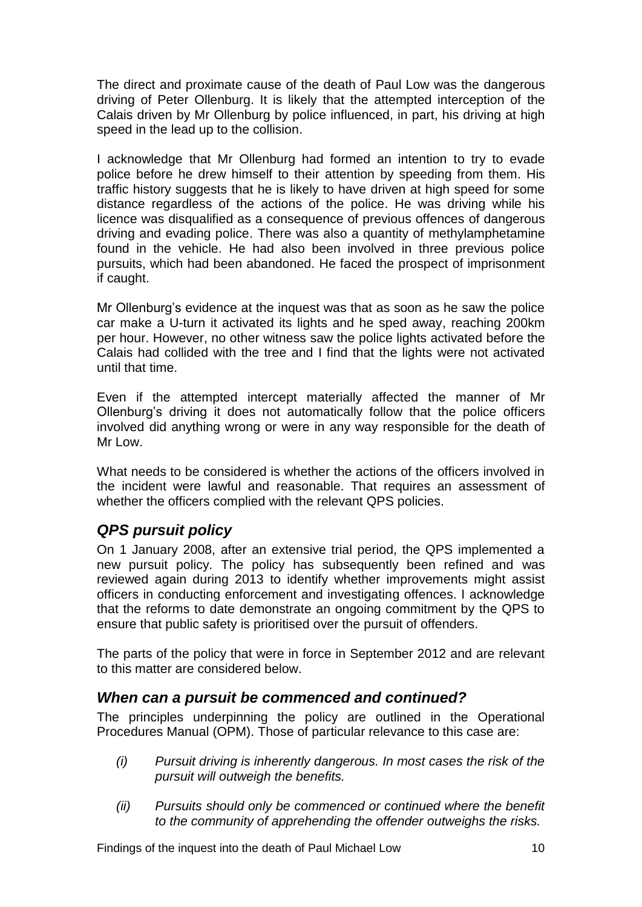The direct and proximate cause of the death of Paul Low was the dangerous driving of Peter Ollenburg. It is likely that the attempted interception of the Calais driven by Mr Ollenburg by police influenced, in part, his driving at high speed in the lead up to the collision.

I acknowledge that Mr Ollenburg had formed an intention to try to evade police before he drew himself to their attention by speeding from them. His traffic history suggests that he is likely to have driven at high speed for some distance regardless of the actions of the police. He was driving while his licence was disqualified as a consequence of previous offences of dangerous driving and evading police. There was also a quantity of methylamphetamine found in the vehicle. He had also been involved in three previous police pursuits, which had been abandoned. He faced the prospect of imprisonment if caught.

Mr Ollenburg's evidence at the inquest was that as soon as he saw the police car make a U-turn it activated its lights and he sped away, reaching 200km per hour. However, no other witness saw the police lights activated before the Calais had collided with the tree and I find that the lights were not activated until that time.

Even if the attempted intercept materially affected the manner of Mr Ollenburg's driving it does not automatically follow that the police officers involved did anything wrong or were in any way responsible for the death of Mr Low.

What needs to be considered is whether the actions of the officers involved in the incident were lawful and reasonable. That requires an assessment of whether the officers complied with the relevant QPS policies.

## <span id="page-12-0"></span>*QPS pursuit policy*

On 1 January 2008, after an extensive trial period, the QPS implemented a new pursuit policy. The policy has subsequently been refined and was reviewed again during 2013 to identify whether improvements might assist officers in conducting enforcement and investigating offences. I acknowledge that the reforms to date demonstrate an ongoing commitment by the QPS to ensure that public safety is prioritised over the pursuit of offenders.

The parts of the policy that were in force in September 2012 and are relevant to this matter are considered below.

## <span id="page-12-1"></span>*When can a pursuit be commenced and continued?*

The principles underpinning the policy are outlined in the Operational Procedures Manual (OPM). Those of particular relevance to this case are:

- *(i) Pursuit driving is inherently dangerous. In most cases the risk of the pursuit will outweigh the benefits.*
- *(ii) Pursuits should only be commenced or continued where the benefit to the community of apprehending the offender outweighs the risks.*

Findings of the inquest into the death of Paul Michael Low 10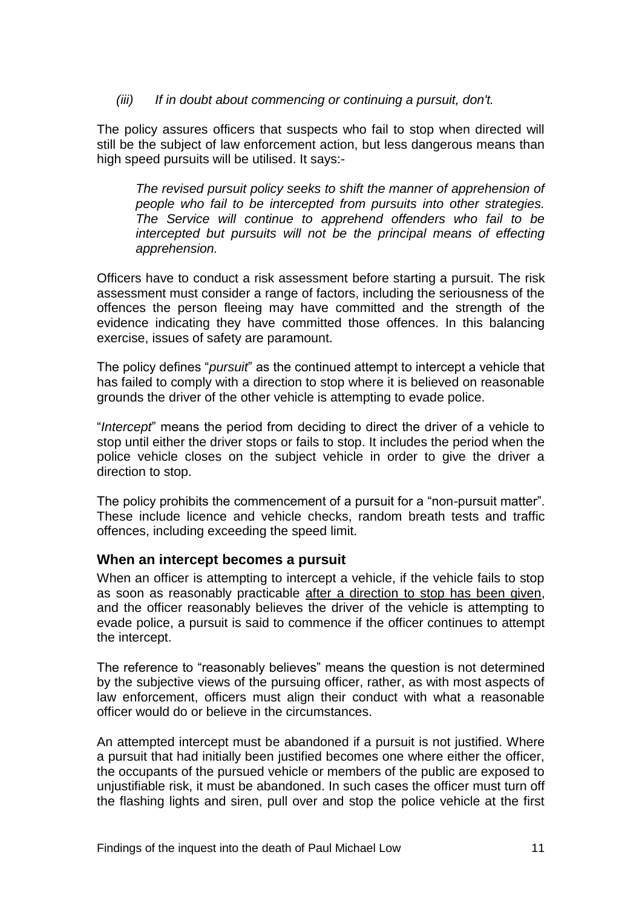#### *(iii) If in doubt about commencing or continuing a pursuit, don't.*

The policy assures officers that suspects who fail to stop when directed will still be the subject of law enforcement action, but less dangerous means than high speed pursuits will be utilised. It says:-

*The revised pursuit policy seeks to shift the manner of apprehension of people who fail to be intercepted from pursuits into other strategies. The Service will continue to apprehend offenders who fail to be intercepted but pursuits will not be the principal means of effecting apprehension.*

Officers have to conduct a risk assessment before starting a pursuit. The risk assessment must consider a range of factors, including the seriousness of the offences the person fleeing may have committed and the strength of the evidence indicating they have committed those offences. In this balancing exercise, issues of safety are paramount.

The policy defines "*pursuit*" as the continued attempt to intercept a vehicle that has failed to comply with a direction to stop where it is believed on reasonable grounds the driver of the other vehicle is attempting to evade police.

"*Intercept*" means the period from deciding to direct the driver of a vehicle to stop until either the driver stops or fails to stop. It includes the period when the police vehicle closes on the subject vehicle in order to give the driver a direction to stop.

The policy prohibits the commencement of a pursuit for a "non-pursuit matter". These include licence and vehicle checks, random breath tests and traffic offences, including exceeding the speed limit.

#### <span id="page-13-0"></span>**When an intercept becomes a pursuit**

When an officer is attempting to intercept a vehicle, if the vehicle fails to stop as soon as reasonably practicable after a direction to stop has been given, and the officer reasonably believes the driver of the vehicle is attempting to evade police, a pursuit is said to commence if the officer continues to attempt the intercept.

The reference to "reasonably believes" means the question is not determined by the subjective views of the pursuing officer, rather, as with most aspects of law enforcement, officers must align their conduct with what a reasonable officer would do or believe in the circumstances.

An attempted intercept must be abandoned if a pursuit is not justified. Where a pursuit that had initially been justified becomes one where either the officer, the occupants of the pursued vehicle or members of the public are exposed to unjustifiable risk, it must be abandoned. In such cases the officer must turn off the flashing lights and siren, pull over and stop the police vehicle at the first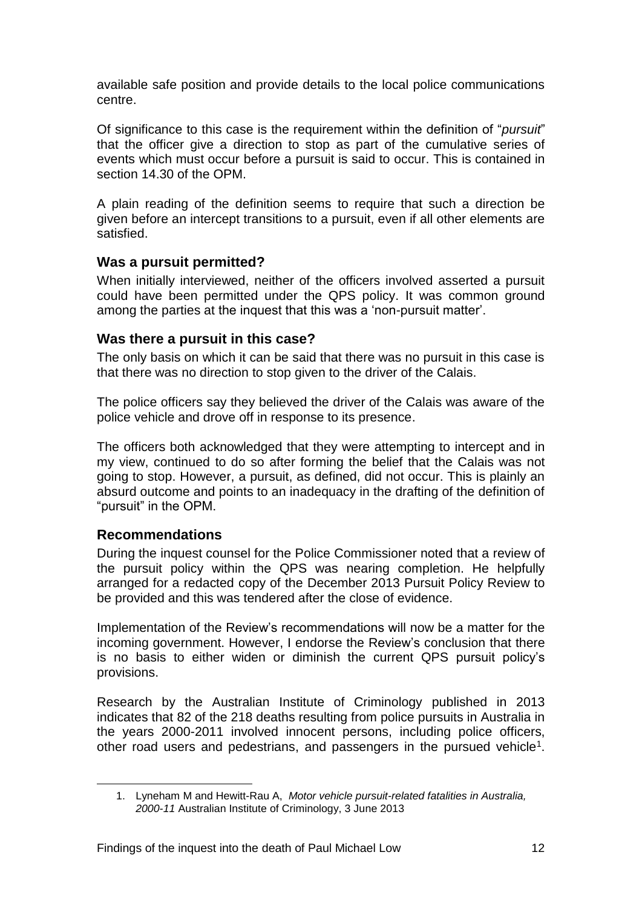available safe position and provide details to the local police communications centre.

Of significance to this case is the requirement within the definition of "*pursuit*" that the officer give a direction to stop as part of the cumulative series of events which must occur before a pursuit is said to occur. This is contained in section 14.30 of the OPM.

A plain reading of the definition seems to require that such a direction be given before an intercept transitions to a pursuit, even if all other elements are satisfied.

#### <span id="page-14-0"></span>**Was a pursuit permitted?**

When initially interviewed, neither of the officers involved asserted a pursuit could have been permitted under the QPS policy. It was common ground among the parties at the inquest that this was a 'non-pursuit matter'.

#### <span id="page-14-1"></span>**Was there a pursuit in this case?**

The only basis on which it can be said that there was no pursuit in this case is that there was no direction to stop given to the driver of the Calais.

The police officers say they believed the driver of the Calais was aware of the police vehicle and drove off in response to its presence.

The officers both acknowledged that they were attempting to intercept and in my view, continued to do so after forming the belief that the Calais was not going to stop. However, a pursuit, as defined, did not occur. This is plainly an absurd outcome and points to an inadequacy in the drafting of the definition of "pursuit" in the OPM.

#### <span id="page-14-2"></span>**Recommendations**

During the inquest counsel for the Police Commissioner noted that a review of the pursuit policy within the QPS was nearing completion. He helpfully arranged for a redacted copy of the December 2013 Pursuit Policy Review to be provided and this was tendered after the close of evidence.

Implementation of the Review's recommendations will now be a matter for the incoming government. However, I endorse the Review's conclusion that there is no basis to either widen or diminish the current QPS pursuit policy's provisions.

Research by the Australian Institute of Criminology published in 2013 indicates that 82 of the 218 deaths resulting from police pursuits in Australia in the years 2000-2011 involved innocent persons, including police officers, other road users and pedestrians, and passengers in the pursued vehicle<sup>1</sup>.

<sup>1.</sup> Lyneham M and Hewitt-Rau A, *Motor vehicle pursuit-related fatalities in Australia, 2000-11* Australian Institute of Criminology, 3 June 2013